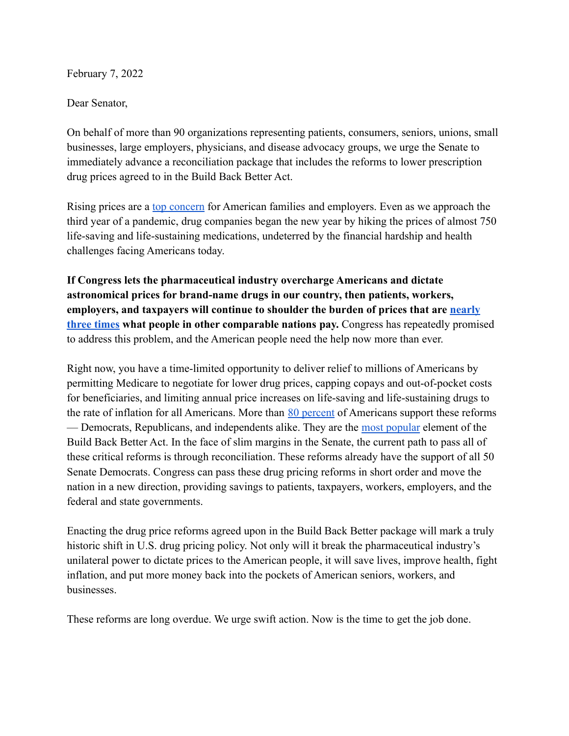February 7, 2022

Dear Senator,

On behalf of more than 90 organizations representing patients, consumers, seniors, unions, small businesses, large employers, physicians, and disease advocacy groups, we urge the Senate to immediately advance a reconciliation package that includes the reforms to lower prescription drug prices agreed to in the Build Back Better Act.

Rising prices are a [top concern](https://www.monmouth.edu/polling-institute/reports/monmouthpoll_us_120821/) for American families and employers. Even as we approach the third year of a pandemic, drug companies began the new year by hiking the prices of almost 750 life-saving and life-sustaining medications, undeterred by the financial hardship and health challenges facing Americans today.

**If Congress lets the pharmaceutical industry overcharge Americans and dictate astronomical prices for brand-name drugs in our country, then patients, workers, employers, and taxpayers will continue to shoulder the burden of prices that are [nearly](https://www.rand.org/pubs/research_reports/RR2956.html) [three times](https://www.rand.org/pubs/research_reports/RR2956.html) what people in other comparable nations pay.** Congress has repeatedly promised to address this problem, and the American people need the help now more than ever.

Right now, you have a time-limited opportunity to deliver relief to millions of Americans by permitting Medicare to negotiate for lower drug prices, capping copays and out-of-pocket costs for beneficiaries, and limiting annual price increases on life-saving and life-sustaining drugs to the rate of inflation for all Americans. More than [80 percent](https://s8637.pcdn.co/wp-content/uploads/2021/09/Americans-Support-Government-Action-on-High-Drug-Prices.pdf) of Americans support these reforms — Democrats, Republicans, and independents alike. They are the [most popular](https://buildingbacktogether.org/news/bbt-polling-in-48-battleground-house-districts-shows-15-point-boost-for-members-who-support-the-build-back-better-agenda/) element of the Build Back Better Act. In the face of slim margins in the Senate, the current path to pass all of these critical reforms is through reconciliation. These reforms already have the support of all 50 Senate Democrats. Congress can pass these drug pricing reforms in short order and move the nation in a new direction, providing savings to patients, taxpayers, workers, employers, and the federal and state governments.

Enacting the drug price reforms agreed upon in the Build Back Better package will mark a truly historic shift in U.S. drug pricing policy. Not only will it break the pharmaceutical industry's unilateral power to dictate prices to the American people, it will save lives, improve health, fight inflation, and put more money back into the pockets of American seniors, workers, and businesses.

These reforms are long overdue. We urge swift action. Now is the time to get the job done.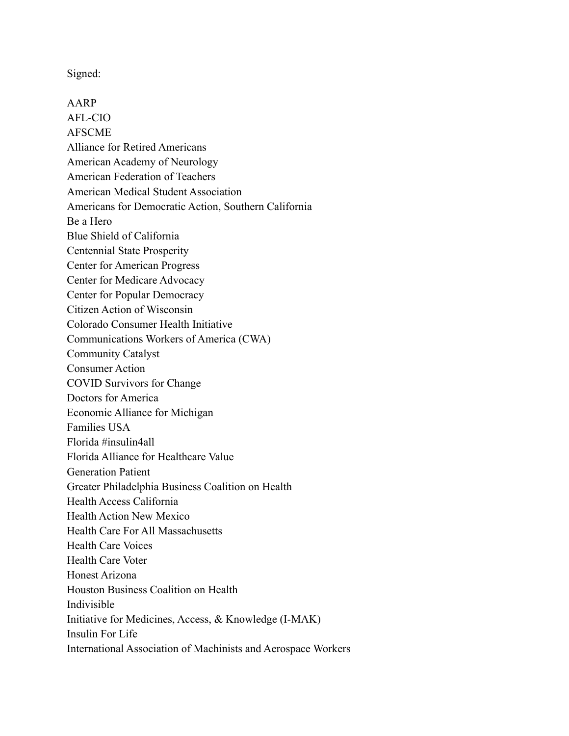Signed:

AARP AFL-CIO AFSCME Alliance for Retired Americans American Academy of Neurology American Federation of Teachers American Medical Student Association Americans for Democratic Action, Southern California Be a Hero Blue Shield of California Centennial State Prosperity Center for American Progress Center for Medicare Advocacy Center for Popular Democracy Citizen Action of Wisconsin Colorado Consumer Health Initiative Communications Workers of America (CWA) Community Catalyst Consumer Action COVID Survivors for Change Doctors for America Economic Alliance for Michigan Families USA Florida #insulin4all Florida Alliance for Healthcare Value Generation Patient Greater Philadelphia Business Coalition on Health Health Access California Health Action New Mexico Health Care For All Massachusetts Health Care Voices Health Care Voter Honest Arizona Houston Business Coalition on Health Indivisible Initiative for Medicines, Access, & Knowledge (I-MAK) Insulin For Life International Association of Machinists and Aerospace Workers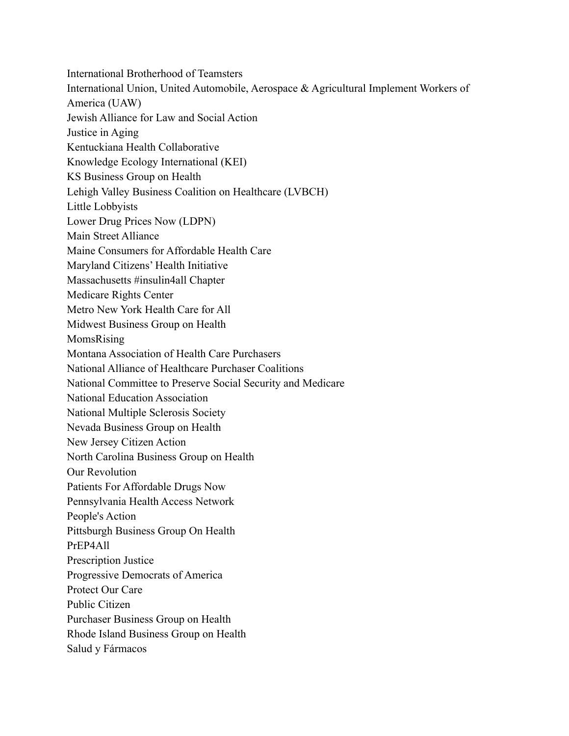International Brotherhood of Teamsters International Union, United Automobile, Aerospace & Agricultural Implement Workers of America (UAW) Jewish Alliance for Law and Social Action Justice in Aging Kentuckiana Health Collaborative Knowledge Ecology International (KEI) KS Business Group on Health Lehigh Valley Business Coalition on Healthcare (LVBCH) Little Lobbyists Lower Drug Prices Now (LDPN) Main Street Alliance Maine Consumers for Affordable Health Care Maryland Citizens' Health Initiative Massachusetts #insulin4all Chapter Medicare Rights Center Metro New York Health Care for All Midwest Business Group on Health MomsRising Montana Association of Health Care Purchasers National Alliance of Healthcare Purchaser Coalitions National Committee to Preserve Social Security and Medicare National Education Association National Multiple Sclerosis Society Nevada Business Group on Health New Jersey Citizen Action North Carolina Business Group on Health Our Revolution Patients For Affordable Drugs Now Pennsylvania Health Access Network People's Action Pittsburgh Business Group On Health PrEP4All Prescription Justice Progressive Democrats of America Protect Our Care Public Citizen Purchaser Business Group on Health Rhode Island Business Group on Health Salud y Fármacos